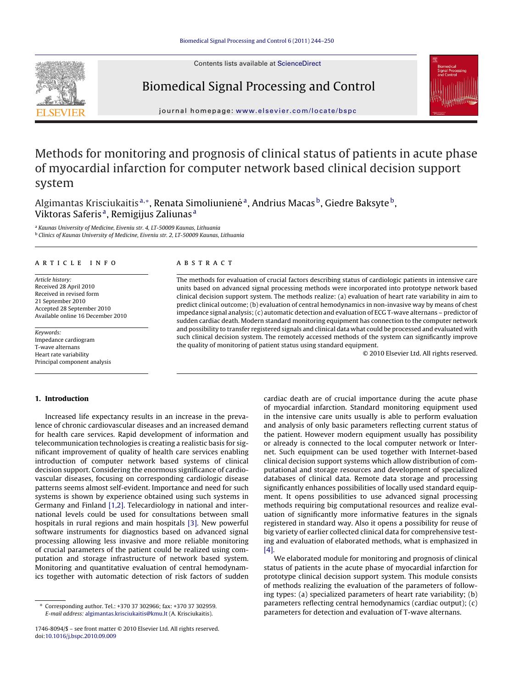Contents lists available at [ScienceDirect](http://www.sciencedirect.com/science/journal/17468094)



# Biomedical Signal Processing and Control



iournal homepage: [www.elsevier.com/locate/bspc](http://www.elsevier.com/locate/bspc)

# Methods for monitoring and prognosis of clinical status of patients in acute phase of myocardial infarction for computer network based clinical decision support system

Algimantas Krisciukaitis<sup>a,∗</sup>, Renata Simoliunienė<sup>a</sup>, Andrius Macas<sup>b</sup>, Giedre Baksyte<sup>b</sup>, Viktoras Saferis<sup>a</sup>, Remigijus Zaliunas<sup>a</sup>

<sup>a</sup> Kaunas University of Medicine, Eiveniu str. 4, LT-50009 Kaunas, Lithuania <sup>b</sup> Clinics of Kaunas University of Medicine, Eiveniu str. 2, LT-50009 Kaunas, Lithuania

## a r t i c l e i n f o

Article history: Received 28 April 2010 Received in revised form 21 September 2010 Accepted 28 September 2010 Available online 16 December 2010

Keywords: Impedance cardiogram T-wave alternans Heart rate variability Principal component analysis

**1. Introduction**

## a b s t r a c t

The methods for evaluation of crucial factors describing status of cardiologic patients in intensive care units based on advanced signal processing methods were incorporated into prototype network based clinical decision support system. The methods realize: (a) evaluation of heart rate variability in aim to predict clinical outcome; (b) evaluation of central hemodynamics in non-invasive way by means of chest impedance signal analysis; (c) automatic detection and evaluation of ECG T-wave alternans – predictor of sudden cardiac death. Modern standard monitoring equipment has connection to the computer network and possibility to transfer registered signals and clinical data what could be processed and evaluated with such clinical decision system. The remotely accessed methods of the system can significantly improve the quality of monitoring of patient status using standard equipment.

© 2010 Elsevier Ltd. All rights reserved.

# Increased life expectancy results in an increase in the prevalence of chronic cardiovascular diseases and an increased demand for health care services. Rapid development of information and telecommunication technologies is creating a realistic basis for significant improvement of quality of health care services enabling introduction of computer network based systems of clinical decision support. Considering the enormous significance of cardiovascular diseases, focusing on corresponding cardiologic disease patterns seems almost self-evident. Importance and need for such systems is shown by experience obtained using such systems in Germany and Finland [\[1,2\].](#page--1-0) Telecardiology in national and international levels could be used for consultations between small hospitals in rural regions and main hospitals [\[3\].](#page--1-0) New powerful software instruments for diagnostics based on advanced signal processing allowing less invasive and more reliable monitoring of crucial parameters of the patient could be realized using computation and storage infrastructure of network based system. Monitoring and quantitative evaluation of central hemodynamics together with automatic detection of risk factors of sudden

cardiac death are of crucial importance during the acute phase of myocardial infarction. Standard monitoring equipment used in the intensive care units usually is able to perform evaluation and analysis of only basic parameters reflecting current status of the patient. However modern equipment usually has possibility or already is connected to the local computer network or Internet. Such equipment can be used together with Internet-based clinical decision support systems which allow distribution of computational and storage resources and development of specialized databases of clinical data. Remote data storage and processing significantly enhances possibilities of locally used standard equipment. It opens possibilities to use advanced signal processing methods requiring big computational resources and realize evaluation of significantly more informative features in the signals registered in standard way. Also it opens a possibility for reuse of big variety of earlier collected clinical data for comprehensive testing and evaluation of elaborated methods, what is emphasized in [\[4\].](#page--1-0)

We elaborated module for monitoring and prognosis of clinical status of patients in the acute phase of myocardial infarction for prototype clinical decision support system. This module consists of methods realizing the evaluation of the parameters of following types: (a) specialized parameters of heart rate variability; (b) parameters reflecting central hemodynamics (cardiac output); (c) parameters for detection and evaluation of T-wave alternans.

<sup>∗</sup> Corresponding author. Tel.: +370 37 302966; fax: +370 37 302959. E-mail address: [algimantas.krisciukaitis@kmu.lt](mailto:algimantas.krisciukaitis@kmu.lt) (A. Krisciukaitis).

<sup>1746-8094/\$</sup> – see front matter © 2010 Elsevier Ltd. All rights reserved. doi:[10.1016/j.bspc.2010.09.009](dx.doi.org/10.1016/j.bspc.2010.09.009)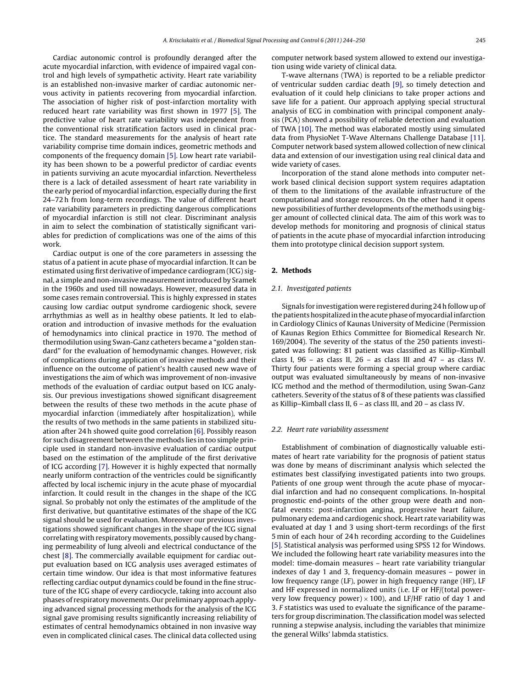Cardiac autonomic control is profoundly deranged after the acute myocardial infarction, with evidence of impaired vagal control and high levels of sympathetic activity. Heart rate variability is an established non-invasive marker of cardiac autonomic nervous activity in patients recovering from myocardial infarction. The association of higher risk of post-infarction mortality with reduced heart rate variability was first shown in 1977 [\[5\].](#page--1-0) The predictive value of heart rate variability was independent from the conventional risk stratification factors used in clinical practice. The standard measurements for the analysis of heart rate variability comprise time domain indices, geometric methods and components of the frequency domain [\[5\].](#page--1-0) Low heart rate variability has been shown to be a powerful predictor of cardiac events in patients surviving an acute myocardial infarction. Nevertheless there is a lack of detailed assessment of heart rate variability in the early period of myocardial infarction, especially during the first 24–72 h from long-term recordings. The value of different heart rate variability parameters in predicting dangerous complications of myocardial infarction is still not clear. Discriminant analysis in aim to select the combination of statistically significant variables for prediction of complications was one of the aims of this work.

Cardiac output is one of the core parameters in assessing the status of a patient in acute phase of myocardial infarction. It can be estimated using first derivative of impedance cardiogram (ICG) signal, a simple and non-invasive measurementintroduced by Sramek in the 1960s and used till nowadays. However, measured data in some cases remain controversial. This is highly expressed in states causing low cardiac output syndrome cardiogenic shock, severe arrhythmias as well as in healthy obese patients. It led to elaboration and introduction of invasive methods for the evaluation of hemodynamics into clinical practice in 1970. The method of thermodilution using Swan-Ganz catheters became a "golden standard" for the evaluation of hemodynamic changes. However, risk of complications during application of invasive methods and their influence on the outcome of patient's health caused new wave of investigations the aim of which was improvement of non-invasive methods of the evaluation of cardiac output based on ICG analysis. Our previous investigations showed significant disagreement between the results of these two methods in the acute phase of myocardial infarction (immediately after hospitalization), while the results of two methods in the same patients in stabilized situation after 24 h showed quite good correlation [\[6\].](#page--1-0) Possibly reason for such disagreement between the methods lies in too simple principle used in standard non-invasive evaluation of cardiac output based on the estimation of the amplitude of the first derivative of ICG according [\[7\].](#page--1-0) However it is highly expected that normally nearly uniform contraction of the ventricles could be significantly affected by local ischemic injury in the acute phase of myocardial infarction. It could result in the changes in the shape of the ICG signal. So probably not only the estimates of the amplitude of the first derivative, but quantitative estimates of the shape of the ICG signal should be used for evaluation. Moreover our previous investigations showed significant changes in the shape of the ICG signal correlating with respiratory movements, possibly caused by changing permeability of lung alveoli and electrical conductance of the chest [\[8\].](#page--1-0) The commercially available equipment for cardiac output evaluation based on ICG analysis uses averaged estimates of certain time window. Our idea is that most informative features reflecting cardiac output dynamics could be found in the fine structure of the ICG shape of every cardiocycle, taking into account also phases of respiratory movements. Our preliminary approach applying advanced signal processing methods for the analysis of the ICG signal gave promising results significantly increasing reliability of estimates of central hemodynamics obtained in non invasive way even in complicated clinical cases. The clinical data collected using computer network based system allowed to extend our investigation using wide variety of clinical data.

T-wave alternans (TWA) is reported to be a reliable predictor of ventricular sudden cardiac death [\[9\],](#page--1-0) so timely detection and evaluation of it could help clinicians to take proper actions and save life for a patient. Our approach applying special structural analysis of ECG in combination with principal component analysis (PCA) showed a possibility of reliable detection and evaluation of TWA [\[10\].](#page--1-0) The method was elaborated mostly using simulated data from PhysioNet T-Wave Alternans Challenge Database [\[11\].](#page--1-0) Computer network based system allowed collection of new clinical data and extension of our investigation using real clinical data and wide variety of cases.

Incorporation of the stand alone methods into computer network based clinical decision support system requires adaptation of them to the limitations of the available infrastructure of the computational and storage resources. On the other hand it opens new possibilities of further developments of the methods using bigger amount of collected clinical data. The aim of this work was to develop methods for monitoring and prognosis of clinical status of patients in the acute phase of myocardial infarction introducing them into prototype clinical decision support system.

## **2. Methods**

## 2.1. Investigated patients

Signals for investigation were registered during 24 h follow up of the patients hospitalized in the acute phase of myocardial infarction in Cardiology Clinics of Kaunas University of Medicine (Permission of Kaunas Region Ethics Committee for Biomedical Research Nr. 169/2004). The severity of the status of the 250 patients investigated was following: 81 patient was classified as Killip–Kimball class I, 96 – as class II, 26 – as class III and 47 – as class IV. Thirty four patients were forming a special group where cardiac output was evaluated simultaneously by means of non-invasive ICG method and the method of thermodilution, using Swan-Ganz catheters. Severity of the status of 8 of these patients was classified as Killip–Kimball class II, 6 – as class III, and 20 – as class IV.

#### 2.2. Heart rate variability assessment

Establishment of combination of diagnostically valuable estimates of heart rate variability for the prognosis of patient status was done by means of discriminant analysis which selected the estimates best classifying investigated patients into two groups. Patients of one group went through the acute phase of myocardial infarction and had no consequent complications. In-hospital prognostic end-points of the other group were death and nonfatal events: post-infarction angina, progressive heart failure, pulmonary edema and cardiogenic shock. Heart rate variability was evaluated at day 1 and 3 using short-term recordings of the first 5 min of each hour of 24 h recording according to the Guidelines [\[5\].](#page--1-0) Statistical analysis was performed using SPSS 12 for Windows. We included the following heart rate variability measures into the model: time-domain measures – heart rate variability triangular indexes of day 1 and 3, frequency-domain measures – power in low frequency range (LF), power in high frequency range (HF), LF and HF expressed in normalized units (i.e. LF or HF/(total powervery low frequency power)  $\times$  100), and LF/HF ratio of day 1 and 3. F statistics was used to evaluate the significance of the parameters for group discrimination. The classification model was selected running a stepwise analysis, including the variables that minimize the general Wilks' labmda statistics.